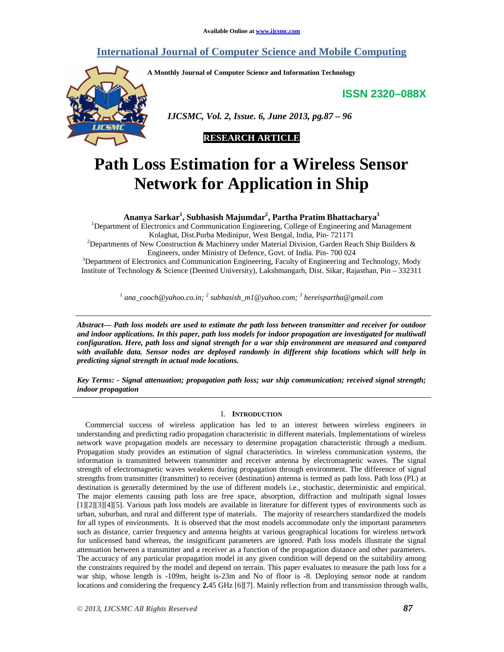## **International Journal of Computer Science and Mobile Computing**

**A Monthly Journal of Computer Science and Information Technology** 

**ISSN 2320–088X**



 *IJCSMC, Vol. 2, Issue. 6, June 2013, pg.87 – 96* 



# **Path Loss Estimation for a Wireless Sensor Network for Application in Ship**

**Ananya Sarkar<sup>1</sup> , Subhasish Majumdar<sup>2</sup> , Partha Pratim Bhattacharya<sup>3</sup>**

<sup>1</sup>Department of Electronics and Communication Engineering, College of Engineering and Management Kolaghat, Dist.Purba Medinipur, West Bengal, India, Pin- 721171

<sup>2</sup>Departments of New Construction & Machinery under Material Division, Garden Reach Ship Builders & Engineers, under Ministry of Defence, Govt. of India. Pin- 700 024

<sup>3</sup>Department of Electronics and Communication Engineering, Faculty of Engineering and Technology, Mody Institute of Technology & Science (Deemed University), Lakshmangarh, Dist. Sikar, Rajasthan, Pin – 332311

*1 ana\_cooch@yahoo.co.in; <sup>2</sup> subhasish\_m1@yahoo.com; <sup>3</sup> hereispartha@gmail.com* 

*Abstract— Path loss models are used to estimate the path loss between transmitter and receiver for outdoor and indoor applications. In this paper, path loss models for indoor propagation are investigated for multiwall configuration. Here, path loss and signal strength for a war ship environment are measured and compared with available data. Sensor nodes are deployed randomly in different ship locations which will help in predicting signal strength in actual node locations.* 

*Key Terms: - Signal attenuation; propagation path loss; war ship communication; received signal strength; indoor propagation* 

#### I. **INTRODUCTION**

Commercial success of wireless application has led to an interest between wireless engineers in understanding and predicting radio propagation characteristic in different materials. Implementations of wireless network wave propagation models are necessary to determine propagation characteristic through a medium. Propagation study provides an estimation of signal characteristics. In wireless communication systems, the information is transmitted between transmitter and receiver antenna by electromagnetic waves. The signal strength of electromagnetic waves weakens during propagation through environment. The difference of signal strengths from transmitter (transmitter) to receiver (destination) antenna is termed as path loss. Path loss (PL) at destination is generally determined by the use of different models i.e., stochastic, deterministic and empirical. The major elements causing path loss are free space, absorption, diffraction and multipath signal losses [1][2][3][4][5]. Various path loss models are available in literature for different types of environments such as urban, suburban, and rural and different type of materials. The majority of researchers standardized the models for all types of environments. It is observed that the most models accommodate only the important parameters such as distance, carrier frequency and antenna heights at various geographical locations for wireless network for unlicensed band whereas, the insignificant parameters are ignored. Path loss models illustrate the signal attenuation between a transmitter and a receiver as a function of the propagation distance and other parameters. The accuracy of any particular propagation model in any given condition will depend on the suitability among the constraints required by the model and depend on terrain. This paper evaluates to measure the path loss for a war ship, whose length is -109m, height is-23m and No of floor is -8. Deploying sensor node at random locations and considering the frequency **2.**45 GHz [6][7]. Mainly reflection from and transmission through walls,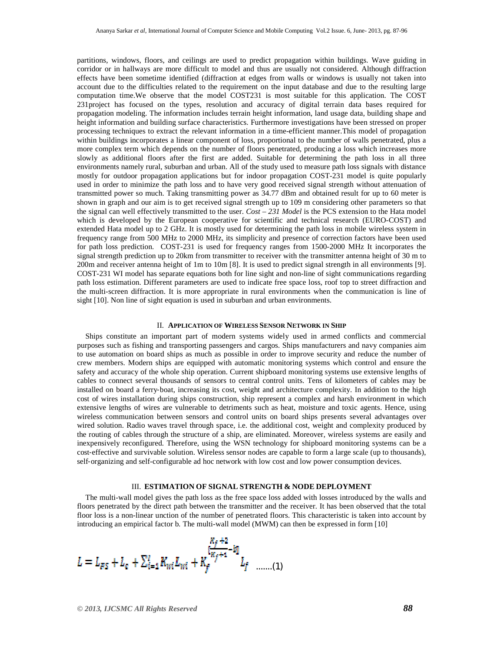partitions, windows, floors, and ceilings are used to predict propagation within buildings. Wave guiding in corridor or in hallways are more difficult to model and thus are usually not considered. Although diffraction effects have been sometime identified (diffraction at edges from walls or windows is usually not taken into account due to the difficulties related to the requirement on the input database and due to the resulting large computation time.We observe that the model COST231 is most suitable for this application. The COST 231project has focused on the types, resolution and accuracy of digital terrain data bases required for propagation modeling. The information includes terrain height information, land usage data, building shape and height information and building surface characteristics. Furthermore investigations have been stressed on proper processing techniques to extract the relevant information in a time-efficient manner.This model of propagation within buildings incorporates a linear component of loss, proportional to the number of walls penetrated, plus a more complex term which depends on the number of floors penetrated, producing a loss which increases more slowly as additional floors after the first are added. Suitable for determining the path loss in all three environments namely rural, suburban and urban. All of the study used to measure path loss signals with distance mostly for outdoor propagation applications but for indoor propagation COST-231 model is quite popularly used in order to minimize the path loss and to have very good received signal strength without attenuation of transmitted power so much. Taking transmitting power as 34.77 dBm and obtained result for up to 60 meter is shown in graph and our aim is to get received signal strength up to 109 m considering other parameters so that the signal can well effectively transmitted to the user. *Cost – 231 Model* is the PCS extension to the Hata model which is developed by the European cooperative for scientific and technical research (EURO-COST) and extended Hata model up to 2 GHz. It is mostly used for determining the path loss in mobile wireless system in frequency range from 500 MHz to 2000 MHz, its simplicity and presence of correction factors have been used for path loss prediction. COST-231 is used for frequency ranges from 1500-2000 MHz It incorporates the signal strength prediction up to 20km from transmitter to receiver with the transmitter antenna height of 30 m to 200m and receiver antenna height of 1m to 10m [8]. It is used to predict signal strength in all environments [9]. COST-231 WI model has separate equations both for line sight and non-line of sight communications regarding path loss estimation. Different parameters are used to indicate free space loss, roof top to street diffraction and the multi-screen diffraction. It is more appropriate in rural environments when the communication is line of sight [10]. Non line of sight equation is used in suburban and urban environments.

#### II. **APPLICATION OF WIRELESS SENSOR NETWORK IN SHIP**

Ships constitute an important part of modern systems widely used in armed conflicts and commercial purposes such as fishing and transporting passengers and cargos. Ships manufacturers and navy companies aim to use automation on board ships as much as possible in order to improve security and reduce the number of crew members. Modern ships are equipped with automatic monitoring systems which control and ensure the safety and accuracy of the whole ship operation. Current shipboard monitoring systems use extensive lengths of cables to connect several thousands of sensors to central control units. Tens of kilometers of cables may be installed on board a ferry‐boat, increasing its cost, weight and architecture complexity. In addition to the high cost of wires installation during ships construction, ship represent a complex and harsh environment in which extensive lengths of wires are vulnerable to detriments such as heat, moisture and toxic agents. Hence, using wireless communication between sensors and control units on board ships presents several advantages over wired solution. Radio waves travel through space, i.e. the additional cost, weight and complexity produced by the routing of cables through the structure of a ship, are eliminated. Moreover, wireless systems are easily and inexpensively reconfigured. Therefore, using the WSN technology for shipboard monitoring systems can be a cost-effective and survivable solution. Wireless sensor nodes are capable to form a large scale (up to thousands), self-organizing and self-configurable ad hoc network with low cost and low power consumption devices.

#### III. **ESTIMATION OF SIGNAL STRENGTH & NODE DEPLOYMENT**

The multi-wall model gives the path loss as the free space loss added with losses introduced by the walls and floors penetrated by the direct path between the transmitter and the receiver. It has been observed that the total floor loss is a non-linear unction of the number of penetrated floors. This characteristic is taken into account by introducing an empirical factor b*.* The multi-wall model (MWM) can then be expressed in form [10]

$$
L = L_{FS} + L_c + \sum_{i=1}^{r} K_{wi} L_{wi} + K_f^{\frac{K_f+2}{K_f+1} - 2j} L_f
$$
 ......(1)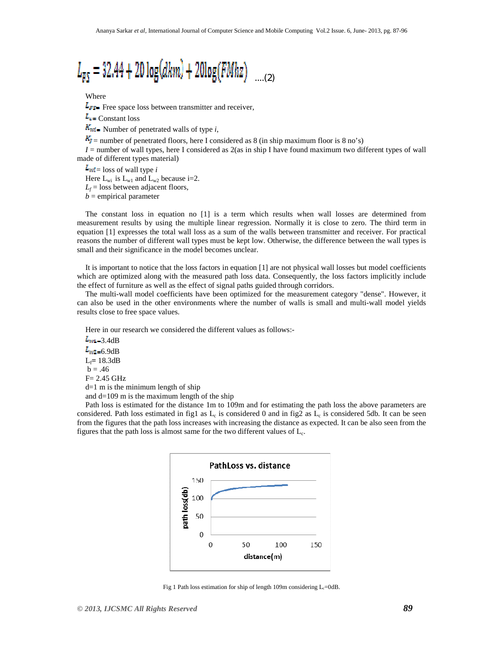

Where

 $L_{FS}$  Free space loss between transmitter and receiver,

 $L_{\text{c}}$  Constant loss

 $K_{\text{wi}}$  Number of penetrated walls of type *i*,

 $K_f$  = number of penetrated floors, here I considered as 8 (in ship maximum floor is 8 no's)

 $I =$  number of wall types, here I considered as  $2(a\sin \sinh \theta)$  have found maximum two different types of wall made of different types material)

 $L_{\text{wi}} =$  loss of wall type *i* Here  $L_{wi}$  is  $L_{w1}$  and  $L_{w2}$  because i=2.  $L_f$  = loss between adjacent floors,  $b =$  empirical parameter

The constant loss in equation no [1] is a term which results when wall losses are determined from measurement results by using the multiple linear regression. Normally it is close to zero. The third term in equation [1] expresses the total wall loss as a sum of the walls between transmitter and receiver. For practical reasons the number of different wall types must be kept low. Otherwise, the difference between the wall types is small and their significance in the model becomes unclear.

It is important to notice that the loss factors in equation [1] are not physical wall losses but model coefficients which are optimized along with the measured path loss data. Consequently, the loss factors implicitly include the effect of furniture as well as the effect of signal paths guided through corridors.

The multi-wall model coefficients have been optimized for the measurement category "dense". However, it can also be used in the other environments where the number of walls is small and multi-wall model yields results close to free space values.

Here in our research we considered the different values as follows:-

 $L_{\text{ref}}$  = 3.4dB  $L_{\text{W2}=6.9\text{dB}}$ Lf**=** 18.3dB  $b = .46$ F= 2.45 GHz  $d=1$  m is the minimum length of ship and  $d=109$  m is the maximum length of the ship

Path loss is estimated for the distance 1m to 109m and for estimating the path loss the above parameters are considered. Path loss estimated in fig1 as  $L_c$  is considered 0 and in fig2 as  $L_c$  is considered 5db. It can be seen from the figures that the path loss increases with increasing the distance as expected. It can be also seen from the figures that the path loss is almost same for the two different values of  $L_c$ .



Fig 1 Path loss estimation for ship of length 109m considering  $L_c$ =0dB.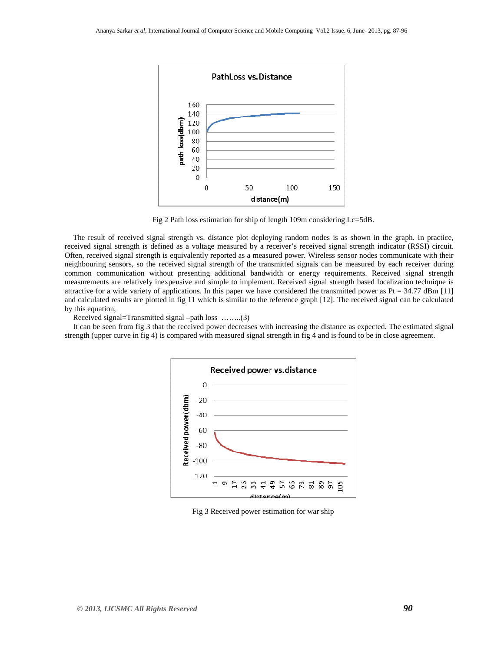

Fig 2 Path loss estimation for ship of length 109m considering Lc=5dB.

The result of received signal strength vs. distance plot deploying random nodes is as shown in the graph. In practice, received signal strength is defined as a voltage measured by a receiver's received signal strength indicator (RSSI) circuit. Often, received signal strength is equivalently reported as a measured power. Wireless sensor nodes communicate with their neighbouring sensors, so the received signal strength of the transmitted signals can be measured by each receiver during common communication without presenting additional bandwidth or energy requirements. Received signal strength measurements are relatively inexpensive and simple to implement. Received signal strength based localization technique is attractive for a wide variety of applications. In this paper we have considered the transmitted power as  $Pt = 34.77$  dBm [11] and calculated results are plotted in fig 11 which is similar to the reference graph [12]. The received signal can be calculated by this equation,

Received signal=Transmitted signal –path loss ……..(3)

It can be seen from fig 3 that the received power decreases with increasing the distance as expected. The estimated signal strength (upper curve in fig 4) is compared with measured signal strength in fig 4 and is found to be in close agreement.



Fig 3 Received power estimation for war ship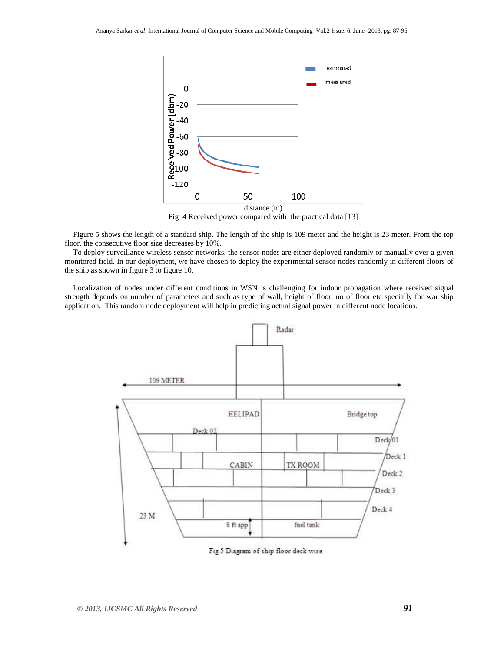

Fig 4 Received power compared with the practical data [13]

Figure 5 shows the length of a standard ship. The length of the ship is 109 meter and the height is 23 meter. From the top floor, the consecutive floor size decreases by 10%.

To deploy surveillance wireless sensor networks, the sensor nodes are either deployed randomly or manually over a given monitored field. In our deployment, we have chosen to deploy the experimental sensor nodes randomly in different floors of the ship as shown in figure 3 to figure 10.

Localization of nodes under different conditions in WSN is challenging for indoor propagation where received signal strength depends on number of parameters and such as type of wall, height of floor, no of floor etc specially for war ship application. This random node deployment will help in predicting actual signal power in different node locations.



Fig 5 Diagram of ship floor deck wise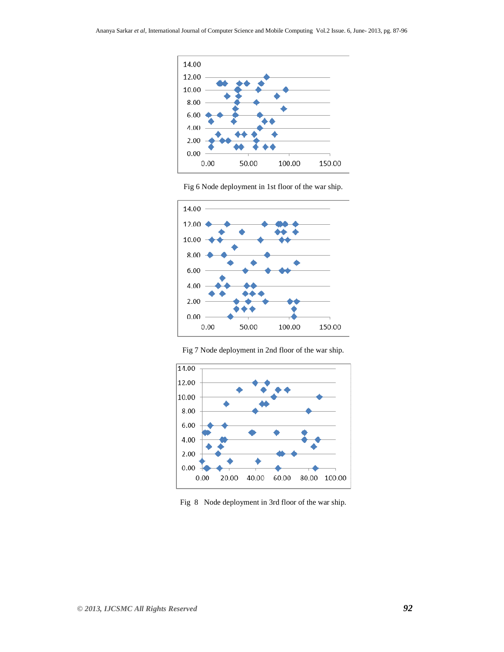



Fig 6 Node deployment in 1st floor of the war ship.



Fig 7 Node deployment in 2nd floor of the war ship.

Fig 8 Node deployment in 3rd floor of the war ship.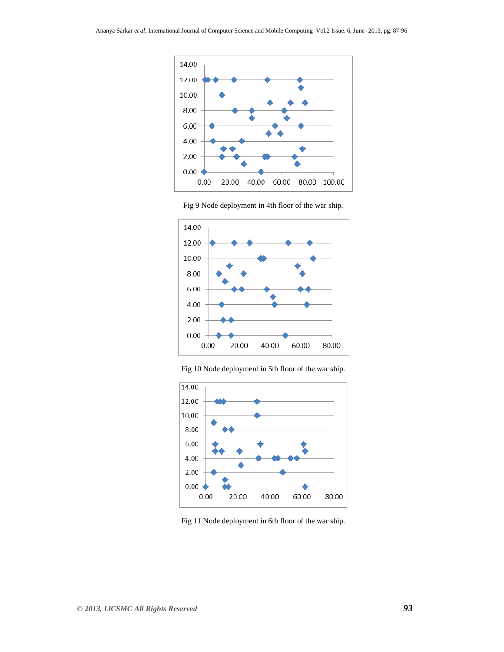





Fig 10 Node deployment in 5th floor of the war ship.



Fig 11 Node deployment in 6th floor of the war ship.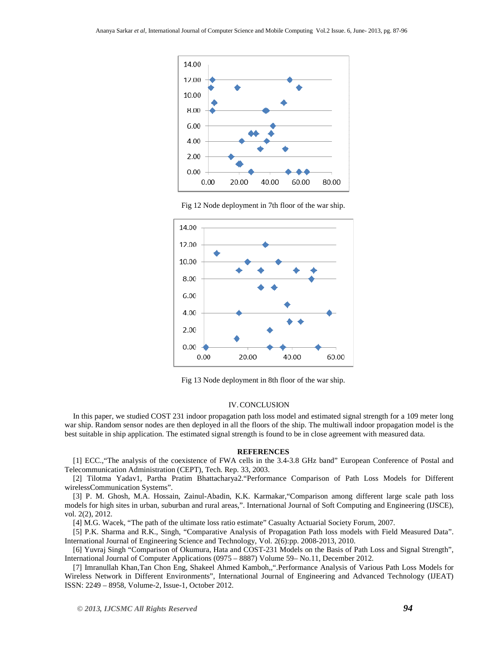





Fig 13 Node deployment in 8th floor of the war ship.

#### IV.CONCLUSION

In this paper, we studied COST 231 indoor propagation path loss model and estimated signal strength for a 109 meter long war ship. Random sensor nodes are then deployed in all the floors of the ship. The multiwall indoor propagation model is the best suitable in ship application. The estimated signal strength is found to be in close agreement with measured data.

#### **REFERENCES**

[1] ECC.,"The analysis of the coexistence of FWA cells in the 3.4-3.8 GHz band" European Conference of Postal and Telecommunication Administration (CEPT), Tech. Rep. 33, 2003.

[2] Tilotma Yadav1, Partha Pratim Bhattacharya2."Performance Comparison of Path Loss Models for Different wirelessCommunication Systems".

[3] P. M. Ghosh, M.A. Hossain, Zainul-Abadin, K.K. Karmakar,"Comparison among different large scale path loss models for high sites in urban, suburban and rural areas,". International Journal of Soft Computing and Engineering (IJSCE), vol. 2(2), 2012.

[4] M.G. Wacek, "The path of the ultimate loss ratio estimate" Casualty Actuarial Society Forum, 2007.

[5] P.K. Sharma and R.K., Singh, "Comparative Analysis of Propagation Path loss models with Field Measured Data". International Journal of Engineering Science and Technology, Vol. 2(6):pp. 2008-2013, 2010.

[6] Yuvraj Singh "Comparison of Okumura, Hata and COST-231 Models on the Basis of Path Loss and Signal Strength", International Journal of Computer Applications (0975 – 8887) Volume 59– No.11, December 2012.

[7] Imranullah Khan,Tan Chon Eng, Shakeel Ahmed Kamboh,,".Performance Analysis of Various Path Loss Models for Wireless Network in Different Environments", International Journal of Engineering and Advanced Technology (IJEAT) ISSN: 2249 – 8958, Volume-2, Issue-1, October 2012.

*© 2013, IJCSMC All Rights Reserved 94*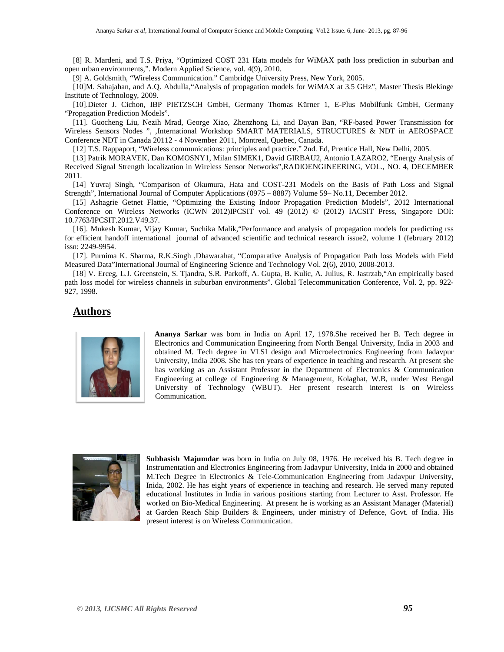[8] R. Mardeni, and T.S. Priya, "Optimized COST 231 Hata models for WiMAX path loss prediction in suburban and open urban environments,". Modern Applied Science, vol. 4(9), 2010.

[9] A. Goldsmith, "Wireless Communication." Cambridge University Press, New York, 2005.

[10]M. Sahajahan, and A.Q. Abdulla,"Analysis of propagation models for WiMAX at 3.5 GHz", Master Thesis Blekinge Institute of Technology, 2009.

[10].Dieter J. Cichon, IBP PIETZSCH GmbH, Germany Thomas Kürner 1, E-Plus Mobilfunk GmbH, Germany "Propagation Prediction Models".

[11]. Guocheng Liu, Nezih Mrad, George Xiao, Zhenzhong Li, and Dayan Ban, "RF-based Power Transmission for Wireless Sensors Nodes ", ,International Workshop SMART MATERIALS, STRUCTURES & NDT in AEROSPACE Conference NDT in Canada 20112 - 4 November 2011, Montreal, Quebec, Canada.

[12] T.S. Rappaport, "Wireless communications: principles and practice." 2nd. Ed, Prentice Hall, New Delhi, 2005.

[13] Patrik MORAVEK, Dan KOMOSNY1, Milan SIMEK1, David GIRBAU2, Antonio LAZARO2, "Energy Analysis of Received Signal Strength localization in Wireless Sensor Networks",RADIOENGINEERING, VOL., NO. 4, DECEMBER 2011.

[14] Yuvraj Singh, "Comparison of Okumura, Hata and COST-231 Models on the Basis of Path Loss and Signal Strength", International Journal of Computer Applications (0975 – 8887) Volume 59– No.11, December 2012.

[15] Ashagrie Getnet Flattie, "Optimizing the Existing Indoor Propagation Prediction Models", 2012 International Conference on Wireless Networks (ICWN 2012)IPCSIT vol. 49 (2012) © (2012) IACSIT Press, Singapore DOI: 10.7763/IPCSIT.2012.V49.37.

[16]. Mukesh Kumar, Vijay Kumar, Suchika Malik,"Performance and analysis of propagation models for predicting rss for efficient handoff international journal of advanced scientific and technical research issue2, volume 1 (february 2012) issn: 2249-9954.

[17]. Purnima K. Sharma, R.K.Singh ,Dhawarahat, "Comparative Analysis of Propagation Path loss Models with Field Measured Data"International Journal of Engineering Science and Technology Vol. 2(6), 2010, 2008-2013.

[18] V. Erceg, L.J. Greenstein, S. Tjandra, S.R. Parkoff, A. Gupta, B. Kulic, A. Julius, R. Jastrzab,"An empirically based path loss model for wireless channels in suburban environments". Global Telecommunication Conference, Vol. 2, pp. 922- 927, 1998.

### **Authors**



**Ananya Sarkar** was born in India on April 17, 1978.She received her B. Tech degree in Electronics and Communication Engineering from North Bengal University, India in 2003 and obtained M. Tech degree in VLSI design and Microelectronics Engineering from Jadavpur University, India 2008. She has ten years of experience in teaching and research. At present she has working as an Assistant Professor in the Department of Electronics & Communication Engineering at college of Engineering & Management, Kolaghat, W.B, under West Bengal University of Technology (WBUT). Her present research interest is on Wireless Communication.



**Subhasish Majumdar** was born in India on July 08, 1976. He received his B. Tech degree in Instrumentation and Electronics Engineering from Jadavpur University, Inida in 2000 and obtained M.Tech Degree in Electronics & Tele-Communication Engineering from Jadavpur University, Inida, 2002. He has eight years of experience in teaching and research. He served many reputed educational Institutes in India in various positions starting from Lecturer to Asst. Professor. He worked on Bio-Medical Engineering. At present he is working as an Assistant Manager (Material) at Garden Reach Ship Builders & Engineers, under ministry of Defence, Govt. of India. His present interest is on Wireless Communication.